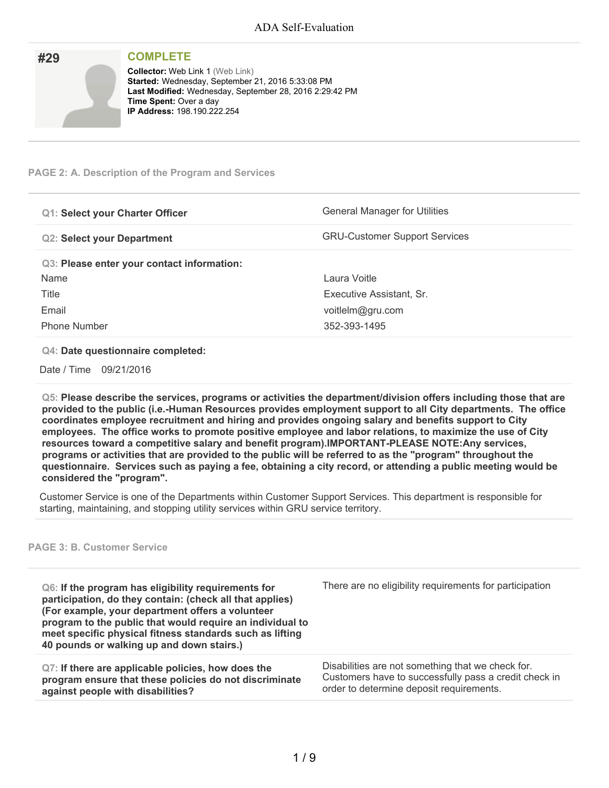| #29 | <b>COMPLETE</b>                                                                                                                                                                                                                |
|-----|--------------------------------------------------------------------------------------------------------------------------------------------------------------------------------------------------------------------------------|
|     | <b>Collector: Web Link 1 (Web Link)</b><br>Started: Wednesday, September 21, 2016 5:33:08 PM<br>Last Modified: Wednesday, September 28, 2016 2:29:42 PM<br><b>Time Spent: Over a day</b><br><b>IP Address: 198.190.222.254</b> |

#### **PAGE 2: A. Description of the Program and Services**

| <b>Q1: Select your Charter Officer</b>     | <b>General Manager for Utilities</b> |
|--------------------------------------------|--------------------------------------|
| <b>Q2: Select your Department</b>          | <b>GRU-Customer Support Services</b> |
| Q3: Please enter your contact information: |                                      |
| Name                                       | Laura Voitle                         |
| Title                                      | Executive Assistant, Sr.             |
| Email                                      | voitlelm@gru.com                     |
| <b>Phone Number</b>                        | 352-393-1495                         |

#### **Q4: Date questionnaire completed:**

Date / Time 09/21/2016

**Q5: Please describe the services, programs or activities the department/division offers including those that are provided to the public (i.e.-Human Resources provides employment support to all City departments. The office coordinates employee recruitment and hiring and provides ongoing salary and benefits support to City employees. The office works to promote positive employee and labor relations, to maximize the use of City resources toward a competitive salary and benefit program).IMPORTANT-PLEASE NOTE:Any services,** programs or activities that are provided to the public will be referred to as the "program" throughout the questionnaire. Services such as paying a fee, obtaining a city record, or attending a public meeting would be **considered the "program".**

Customer Service is one of the Departments within Customer Support Services. This department is responsible for starting, maintaining, and stopping utility services within GRU service territory.

#### **PAGE 3: B. Customer Service**

| Q6: If the program has eligibility requirements for<br>participation, do they contain: (check all that applies)<br>(For example, your department offers a volunteer<br>program to the public that would require an individual to<br>meet specific physical fitness standards such as lifting<br>40 pounds or walking up and down stairs.) | There are no eligibility requirements for participation |
|-------------------------------------------------------------------------------------------------------------------------------------------------------------------------------------------------------------------------------------------------------------------------------------------------------------------------------------------|---------------------------------------------------------|
| Q7: If there are applicable policies, how does the                                                                                                                                                                                                                                                                                        | Disabilities are not something that we check for.       |
| program ensure that these policies do not discriminate                                                                                                                                                                                                                                                                                    | Customers have to successfully pass a credit check in   |
| against people with disabilities?                                                                                                                                                                                                                                                                                                         | order to determine deposit requirements.                |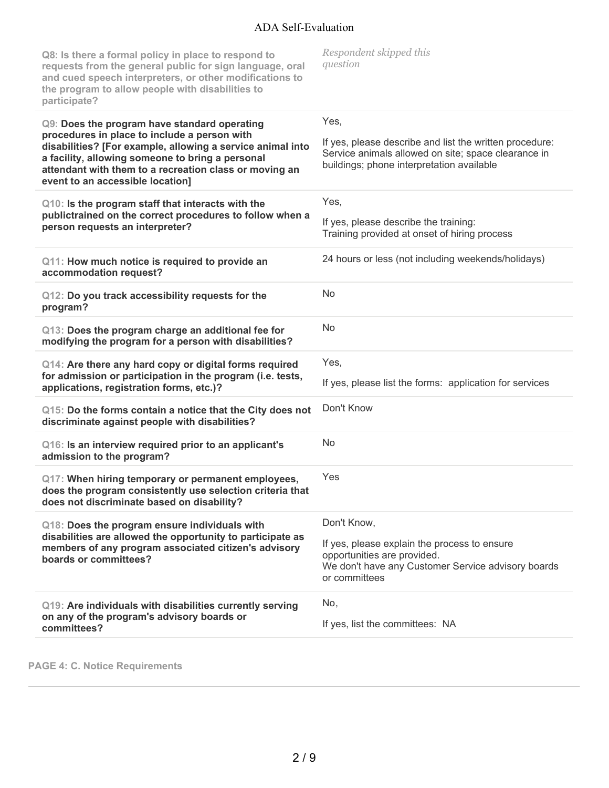| Q8: Is there a formal policy in place to respond to<br>requests from the general public for sign language, oral<br>and cued speech interpreters, or other modifications to<br>the program to allow people with disabilities to<br>participate?                                                               | Respondent skipped this<br>question                                                                                                                                 |
|--------------------------------------------------------------------------------------------------------------------------------------------------------------------------------------------------------------------------------------------------------------------------------------------------------------|---------------------------------------------------------------------------------------------------------------------------------------------------------------------|
| Q9: Does the program have standard operating<br>procedures in place to include a person with<br>disabilities? [For example, allowing a service animal into<br>a facility, allowing someone to bring a personal<br>attendant with them to a recreation class or moving an<br>event to an accessible location] | Yes,<br>If yes, please describe and list the written procedure:<br>Service animals allowed on site; space clearance in<br>buildings; phone interpretation available |
| Q10: Is the program staff that interacts with the<br>publictrained on the correct procedures to follow when a<br>person requests an interpreter?                                                                                                                                                             | Yes,<br>If yes, please describe the training:<br>Training provided at onset of hiring process                                                                       |
| Q11: How much notice is required to provide an<br>accommodation request?                                                                                                                                                                                                                                     | 24 hours or less (not including weekends/holidays)                                                                                                                  |
| Q12: Do you track accessibility requests for the<br>program?                                                                                                                                                                                                                                                 | No                                                                                                                                                                  |
| Q13: Does the program charge an additional fee for<br>modifying the program for a person with disabilities?                                                                                                                                                                                                  | No                                                                                                                                                                  |
| Q14: Are there any hard copy or digital forms required<br>for admission or participation in the program (i.e. tests,<br>applications, registration forms, etc.)?                                                                                                                                             | Yes,<br>If yes, please list the forms: application for services                                                                                                     |
| Q15: Do the forms contain a notice that the City does not<br>discriminate against people with disabilities?                                                                                                                                                                                                  | Don't Know                                                                                                                                                          |
| Q16: Is an interview required prior to an applicant's<br>admission to the program?                                                                                                                                                                                                                           | No                                                                                                                                                                  |
| Q17: When hiring temporary or permanent employees,<br>does the program consistently use selection criteria that<br>does not discriminate based on disability?                                                                                                                                                | Yes                                                                                                                                                                 |
| Q18: Does the program ensure individuals with                                                                                                                                                                                                                                                                | Don't Know,                                                                                                                                                         |
| disabilities are allowed the opportunity to participate as<br>members of any program associated citizen's advisory<br>boards or committees?                                                                                                                                                                  | If yes, please explain the process to ensure<br>opportunities are provided.<br>We don't have any Customer Service advisory boards<br>or committees                  |
| Q19: Are individuals with disabilities currently serving<br>on any of the program's advisory boards or<br>committees?                                                                                                                                                                                        | No,<br>If yes, list the committees: NA                                                                                                                              |

**PAGE 4: C. Notice Requirements**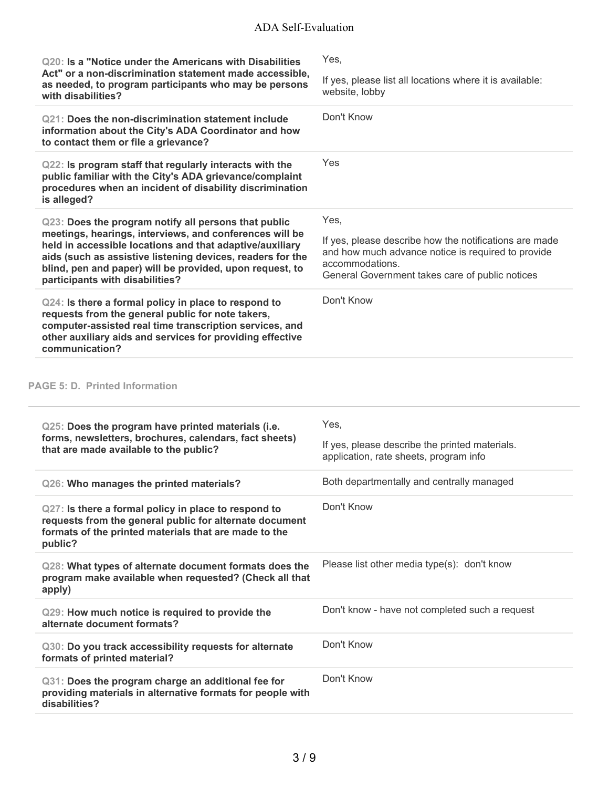| Q20: Is a "Notice under the Americans with Disabilities<br>Act" or a non-discrimination statement made accessible,<br>as needed, to program participants who may be persons<br>with disabilities?                                                                                                                                        | Yes.                                                                                                                            |
|------------------------------------------------------------------------------------------------------------------------------------------------------------------------------------------------------------------------------------------------------------------------------------------------------------------------------------------|---------------------------------------------------------------------------------------------------------------------------------|
|                                                                                                                                                                                                                                                                                                                                          | If yes, please list all locations where it is available:<br>website, lobby                                                      |
| Q21: Does the non-discrimination statement include<br>information about the City's ADA Coordinator and how<br>to contact them or file a grievance?                                                                                                                                                                                       | Don't Know                                                                                                                      |
| Q22: Is program staff that regularly interacts with the<br>public familiar with the City's ADA grievance/complaint<br>procedures when an incident of disability discrimination<br>is alleged?                                                                                                                                            | Yes                                                                                                                             |
| Q23: Does the program notify all persons that public<br>meetings, hearings, interviews, and conferences will be<br>held in accessible locations and that adaptive/auxiliary<br>aids (such as assistive listening devices, readers for the<br>blind, pen and paper) will be provided, upon request, to<br>participants with disabilities? | Yes.                                                                                                                            |
|                                                                                                                                                                                                                                                                                                                                          | If yes, please describe how the notifications are made<br>and how much advance notice is required to provide<br>accommodations. |
|                                                                                                                                                                                                                                                                                                                                          | General Government takes care of public notices                                                                                 |

### **PAGE 5: D. Printed Information**

| Q25: Does the program have printed materials (i.e.<br>forms, newsletters, brochures, calendars, fact sheets)<br>that are made available to the public?                              | Yes,<br>If yes, please describe the printed materials.<br>application, rate sheets, program info |
|-------------------------------------------------------------------------------------------------------------------------------------------------------------------------------------|--------------------------------------------------------------------------------------------------|
| Q26: Who manages the printed materials?                                                                                                                                             | Both departmentally and centrally managed                                                        |
| Q27: Is there a formal policy in place to respond to<br>requests from the general public for alternate document<br>formats of the printed materials that are made to the<br>public? | Don't Know                                                                                       |
| Q28: What types of alternate document formats does the<br>program make available when requested? (Check all that<br>apply)                                                          | Please list other media type(s): don't know                                                      |
| Q29: How much notice is required to provide the<br>alternate document formats?                                                                                                      | Don't know - have not completed such a request                                                   |
| Q30: Do you track accessibility requests for alternate<br>formats of printed material?                                                                                              | Don't Know                                                                                       |
| Q31: Does the program charge an additional fee for<br>providing materials in alternative formats for people with<br>disabilities?                                                   | Don't Know                                                                                       |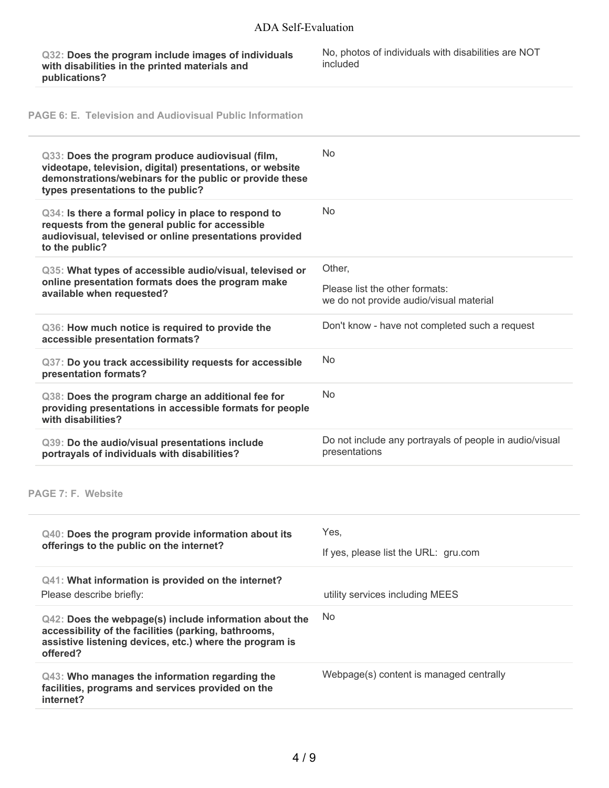**Q32: Does the program include images of individuals with disabilities in the printed materials and publications?**

No, photos of individuals with disabilities are NOT included

**PAGE 6: E. Television and Audiovisual Public Information**

| Q33: Does the program produce audiovisual (film,<br>videotape, television, digital) presentations, or website<br>demonstrations/webinars for the public or provide these<br>types presentations to the public? | <b>No</b>                                                                           |
|----------------------------------------------------------------------------------------------------------------------------------------------------------------------------------------------------------------|-------------------------------------------------------------------------------------|
| Q34: Is there a formal policy in place to respond to<br>requests from the general public for accessible<br>audiovisual, televised or online presentations provided<br>to the public?                           | <b>No</b>                                                                           |
| Q35: What types of accessible audio/visual, televised or<br>online presentation formats does the program make<br>available when requested?                                                                     | Other,<br>Please list the other formats:<br>we do not provide audio/visual material |
| Q36: How much notice is required to provide the<br>accessible presentation formats?                                                                                                                            | Don't know - have not completed such a request                                      |
| Q37: Do you track accessibility requests for accessible<br>presentation formats?                                                                                                                               | <b>No</b>                                                                           |
| Q38: Does the program charge an additional fee for<br>providing presentations in accessible formats for people<br>with disabilities?                                                                           | <b>No</b>                                                                           |
|                                                                                                                                                                                                                |                                                                                     |
| Q39: Do the audio/visual presentations include<br>portrayals of individuals with disabilities?                                                                                                                 | Do not include any portrayals of people in audio/visual<br>presentations            |
|                                                                                                                                                                                                                |                                                                                     |
| <b>PAGE 7: F. Website</b><br>Q40: Does the program provide information about its                                                                                                                               | Yes,                                                                                |
| offerings to the public on the internet?                                                                                                                                                                       | If yes, please list the URL: gru.com                                                |
| Q41: What information is provided on the internet?<br>Please describe briefly:                                                                                                                                 | utility services including MEES                                                     |
| Q42: Does the webpage(s) include information about the<br>accessibility of the facilities (parking, bathrooms,<br>assistive listening devices, etc.) where the program is<br>offered?                          | No                                                                                  |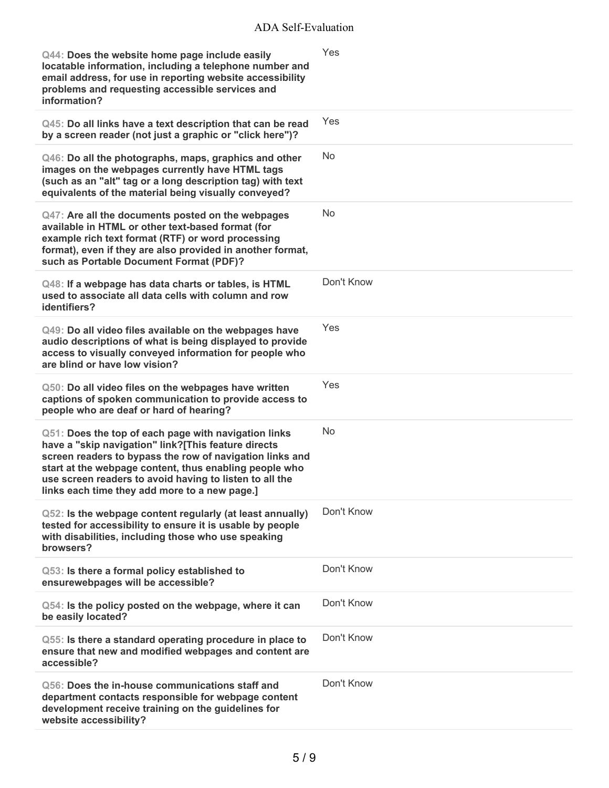| Q44: Does the website home page include easily<br>locatable information, including a telephone number and<br>email address, for use in reporting website accessibility<br>problems and requesting accessible services and<br>information?                                                                                                     | Yes        |
|-----------------------------------------------------------------------------------------------------------------------------------------------------------------------------------------------------------------------------------------------------------------------------------------------------------------------------------------------|------------|
| Q45: Do all links have a text description that can be read<br>by a screen reader (not just a graphic or "click here")?                                                                                                                                                                                                                        | Yes        |
| Q46: Do all the photographs, maps, graphics and other<br>images on the webpages currently have HTML tags<br>(such as an "alt" tag or a long description tag) with text<br>equivalents of the material being visually conveyed?                                                                                                                | <b>No</b>  |
| Q47: Are all the documents posted on the webpages<br>available in HTML or other text-based format (for<br>example rich text format (RTF) or word processing<br>format), even if they are also provided in another format,<br>such as Portable Document Format (PDF)?                                                                          | No         |
| Q48: If a webpage has data charts or tables, is HTML<br>used to associate all data cells with column and row<br>identifiers?                                                                                                                                                                                                                  | Don't Know |
| Q49: Do all video files available on the webpages have<br>audio descriptions of what is being displayed to provide<br>access to visually conveyed information for people who<br>are blind or have low vision?                                                                                                                                 | Yes        |
| Q50: Do all video files on the webpages have written<br>captions of spoken communication to provide access to<br>people who are deaf or hard of hearing?                                                                                                                                                                                      | Yes        |
| Q51: Does the top of each page with navigation links<br>have a "skip navigation" link?[This feature directs<br>screen readers to bypass the row of navigation links and<br>start at the webpage content, thus enabling people who<br>use screen readers to avoid having to listen to all the<br>links each time they add more to a new page.] | No         |
| Q52: Is the webpage content regularly (at least annually)<br>tested for accessibility to ensure it is usable by people<br>with disabilities, including those who use speaking<br>browsers?                                                                                                                                                    | Don't Know |
| Q53: Is there a formal policy established to<br>ensurewebpages will be accessible?                                                                                                                                                                                                                                                            | Don't Know |
| Q54: Is the policy posted on the webpage, where it can<br>be easily located?                                                                                                                                                                                                                                                                  | Don't Know |
| Q55: Is there a standard operating procedure in place to<br>ensure that new and modified webpages and content are<br>accessible?                                                                                                                                                                                                              | Don't Know |
| Q56: Does the in-house communications staff and<br>department contacts responsible for webpage content<br>development receive training on the guidelines for<br>website accessibility?                                                                                                                                                        | Don't Know |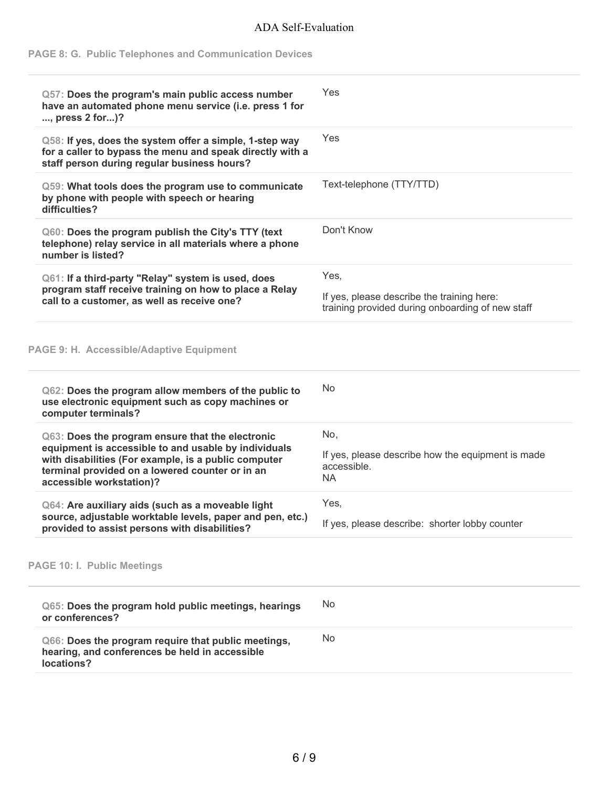## **PAGE 8: G. Public Telephones and Communication Devices**

| Q57: Does the program's main public access number<br>have an automated phone menu service (i.e. press 1 for<br>, press 2 for)?                                                              | Yes                                                                                            |
|---------------------------------------------------------------------------------------------------------------------------------------------------------------------------------------------|------------------------------------------------------------------------------------------------|
| Q58: If yes, does the system offer a simple, 1-step way<br>for a caller to bypass the menu and speak directly with a<br>staff person during regular business hours?                         | Yes                                                                                            |
| Q59: What tools does the program use to communicate<br>by phone with people with speech or hearing<br>difficulties?                                                                         | Text-telephone (TTY/TTD)                                                                       |
| Q60: Does the program publish the City's TTY (text<br>telephone) relay service in all materials where a phone<br>number is listed?                                                          | Don't Know                                                                                     |
| Q61: If a third-party "Relay" system is used, does                                                                                                                                          | Yes,                                                                                           |
| program staff receive training on how to place a Relay<br>call to a customer, as well as receive one?                                                                                       | If yes, please describe the training here:<br>training provided during onboarding of new staff |
| PAGE 9: H. Accessible/Adaptive Equipment                                                                                                                                                    |                                                                                                |
| Q62: Does the program allow members of the public to<br>use electronic equipment such as copy machines or<br>computer terminals?                                                            | <b>No</b>                                                                                      |
| Q63: Does the program ensure that the electronic                                                                                                                                            | No,                                                                                            |
| equipment is accessible to and usable by individuals<br>with disabilities (For example, is a public computer<br>terminal provided on a lowered counter or in an<br>accessible workstation)? | If yes, please describe how the equipment is made<br>accessible.<br><b>NA</b>                  |
| Q64: Are auxiliary aids (such as a moveable light                                                                                                                                           | Yes,                                                                                           |
| source, adjustable worktable levels, paper and pen, etc.)<br>provided to assist persons with disabilities?                                                                                  | If yes, please describe: shorter lobby counter                                                 |
| <b>PAGE 10: I. Public Meetings</b>                                                                                                                                                          |                                                                                                |
| Q65: Does the program hold public meetings, hearings<br>or conferences?                                                                                                                     | No                                                                                             |
| Q66: Does the program require that public meetings,<br>hearing, and conferences be held in accessible<br>locations?                                                                         | No                                                                                             |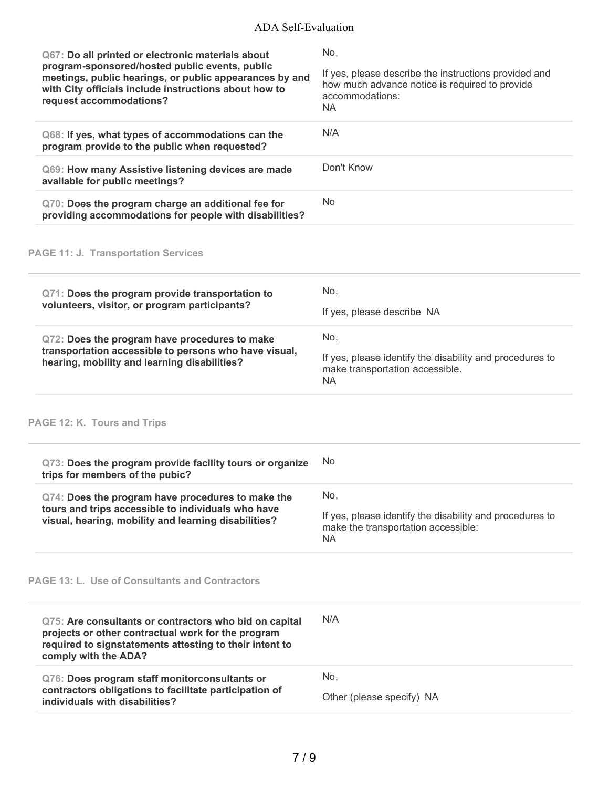| Q67: Do all printed or electronic materials about<br>program-sponsored/hosted public events, public<br>meetings, public hearings, or public appearances by and<br>with City officials include instructions about how to<br>request accommodations? | No,<br>If yes, please describe the instructions provided and<br>how much advance notice is required to provide<br>accommodations:<br><b>NA</b> |
|----------------------------------------------------------------------------------------------------------------------------------------------------------------------------------------------------------------------------------------------------|------------------------------------------------------------------------------------------------------------------------------------------------|
| Q68: If yes, what types of accommodations can the<br>program provide to the public when requested?                                                                                                                                                 | N/A                                                                                                                                            |
| Q69: How many Assistive listening devices are made<br>available for public meetings?                                                                                                                                                               | Don't Know                                                                                                                                     |
| Q70: Does the program charge an additional fee for<br>providing accommodations for people with disabilities?                                                                                                                                       | No                                                                                                                                             |
| <b>PAGE 11: J. Transportation Services</b>                                                                                                                                                                                                         |                                                                                                                                                |
| Q71: Does the program provide transportation to<br>volunteers, visitor, or program participants?                                                                                                                                                   | No,<br>If yes, please describe NA                                                                                                              |
| Q72: Does the program have procedures to make<br>transportation accessible to persons who have visual,<br>hearing, mobility and learning disabilities?                                                                                             | No,<br>If yes, please identify the disability and procedures to<br>make transportation accessible.<br><b>NA</b>                                |
| PAGE 12: K. Tours and Trips                                                                                                                                                                                                                        |                                                                                                                                                |
| Q73: Does the program provide facility tours or organize<br>trips for members of the pubic?                                                                                                                                                        | No                                                                                                                                             |
| Q74: Does the program have procedures to make the<br>tours and trips accessible to individuals who have<br>visual, hearing, mobility and learning disabilities?                                                                                    | No,<br>If yes, please identify the disability and procedures to<br>make the transportation accessible:<br><b>NA</b>                            |
| <b>PAGE 13: L. Use of Consultants and Contractors</b>                                                                                                                                                                                              |                                                                                                                                                |
| Q75: Are consultants or contractors who bid on capital<br>projects or other contractual work for the program<br>required to signstatements attesting to their intent to<br>comply with the ADA?                                                    | N/A                                                                                                                                            |
| Q76: Does program staff monitorconsultants or<br>contractors obligations to facilitate participation of<br>individuals with disabilities?                                                                                                          | No,<br>Other (please specify) NA                                                                                                               |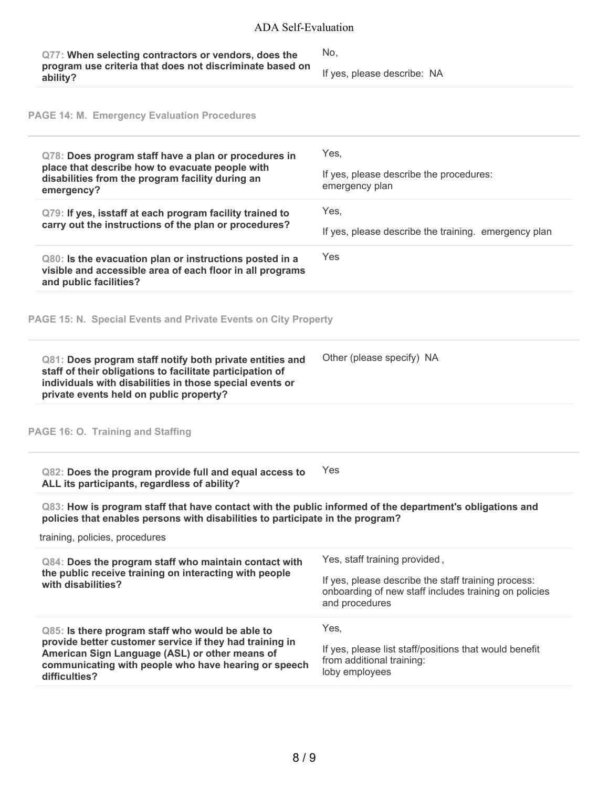| Q77: When selecting contractors or vendors, does the<br>program use criteria that does not discriminate based on<br>ability?                                                                                                           | No,<br>If yes, please describe: NA                                                                                                                              |
|----------------------------------------------------------------------------------------------------------------------------------------------------------------------------------------------------------------------------------------|-----------------------------------------------------------------------------------------------------------------------------------------------------------------|
| <b>PAGE 14: M. Emergency Evaluation Procedures</b>                                                                                                                                                                                     |                                                                                                                                                                 |
| Q78: Does program staff have a plan or procedures in<br>place that describe how to evacuate people with<br>disabilities from the program facility during an<br>emergency?                                                              | Yes,<br>If yes, please describe the procedures:<br>emergency plan                                                                                               |
| Q79: If yes, isstaff at each program facility trained to<br>carry out the instructions of the plan or procedures?                                                                                                                      | Yes,<br>If yes, please describe the training. emergency plan                                                                                                    |
| Q80: Is the evacuation plan or instructions posted in a<br>visible and accessible area of each floor in all programs<br>and public facilities?                                                                                         | Yes                                                                                                                                                             |
| PAGE 15: N. Special Events and Private Events on City Property                                                                                                                                                                         |                                                                                                                                                                 |
| Q81: Does program staff notify both private entities and<br>staff of their obligations to facilitate participation of<br>individuals with disabilities in those special events or<br>private events held on public property?           | Other (please specify) NA                                                                                                                                       |
| PAGE 16: O. Training and Staffing                                                                                                                                                                                                      |                                                                                                                                                                 |
| Q82: Does the program provide full and equal access to<br>ALL its participants, regardless of ability?                                                                                                                                 | Yes                                                                                                                                                             |
| Q83: How is program staff that have contact with the public informed of the department's obligations and<br>policies that enables persons with disabilities to participate in the program?<br>training, policies, procedures           |                                                                                                                                                                 |
| Q84: Does the program staff who maintain contact with<br>the public receive training on interacting with people<br>with disabilities?                                                                                                  | Yes, staff training provided,<br>If yes, please describe the staff training process:<br>onboarding of new staff includes training on policies<br>and procedures |
| Q85: Is there program staff who would be able to<br>provide better customer service if they had training in<br>American Sign Language (ASL) or other means of<br>communicating with people who have hearing or speech<br>difficulties? | Yes,<br>If yes, please list staff/positions that would benefit<br>from additional training:<br>loby employees                                                   |